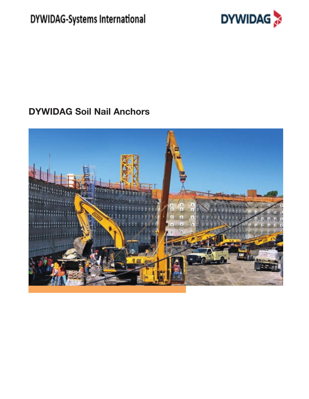# DYWIDAG-Systems International



## **DYWIDAG Soil Nail Anchors**

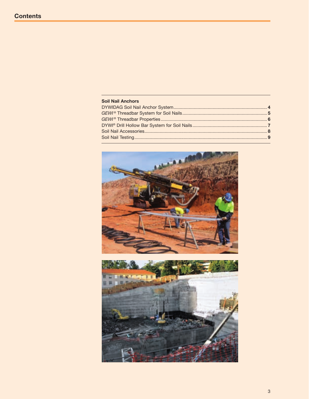| <b>Soil Nail Anchors</b> |  |
|--------------------------|--|
|                          |  |
|                          |  |
|                          |  |
|                          |  |
|                          |  |
|                          |  |

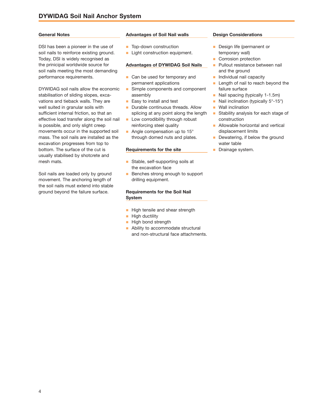## **General Notes**

DSI has been a pioneer in the use of soil nails to reinforce existing ground. Today, DSI is widely recognised as the prinicipal worldwide source for soil nails meeting the most demanding performance requirements.

DYWIDAG soil nails allow the economic stabilisation of sliding slopes, excavations and tieback walls. They are well suited in granular soils with sufficient internal friction, so that an effective load transfer along the soil nail is possible, and only slight creep movements occur in the supported soil mass. The soil nails are installed as the excavation progresses from top to bottom. The surface of the cut is usually stabilised by shotcrete and mesh mats.

Soil nails are loaded only by ground movement. The anchoring length of the soil nails must extend into stable ground beyond the failure surface.

## **Advantages of Soil Nail walls**

- **n** Top-down construction
- **n** Light construction equipment.

## **Advantages of DYWIDAG Soil Nails**

- **n** Can be used for temporary and permanent applications
- **n** Simple components and component assembly
- $\blacksquare$  Easy to install and test
- **n** Durable continuous threads. Allow splicing at any point along the length
- **n** Low corrodibility through robust reinforcing steel quality
- Angle compensation up to  $15^\circ$ through domed nuts and plates.

#### **Requirements for the site**

- Stable, self-supporting soils at the excavation face
- **n** Benches strong enough to support drilling equipment.

## **Requirements for the Soil Nail System**

- **n** High tensile and shear strength
- $\blacksquare$  High ductility
- **n** High bond strength
- **n** Ability to accommodate structural and non-structural face attachments.

## **Design Considerations**

- **n** Design life (permanent or temporary wall)
- **n** Corrosion protection
- **Pullout resistance between nail** and the ground
- **n** Individual nail capacity
- **n** Length of nail to reach beyond the failure surface
- $\blacksquare$  Nail spacing (typically 1-1.5m)
- Nail inclination (typically  $5^{\circ}$ -15°)
- **Nall inclination**
- **n** Stability analysis for each stage of construction
- $\blacksquare$  Allowable horizontal and vertical displacement limits
- Dewatering, if below the ground water table
- Drainage system.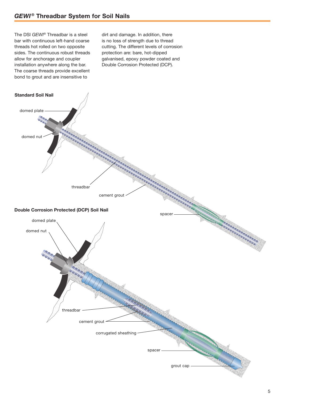The DSI *GEWI®* Threadbar is a steel bar with continuous left-hand coarse threads hot rolled on two opposite sides. The continuous robust threads allow for anchorage and coupler installation anywhere along the bar. The coarse threads provide excellent bond to grout and are insensitive to

dirt and damage. In addition, there is no loss of strength due to thread cutting. The different levels of corrosion protection are: bare, hot-dipped galvanised, epoxy powder coated and Double Corrosion Protected (DCP).

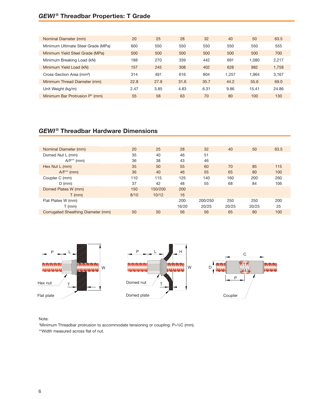## *GEWI ®* **Threadbar Properties: T Grade**

| Nominal Diameter (mm)                      | 20   | 25   | 28   | 32   | 40    | 50    | 63.5  |
|--------------------------------------------|------|------|------|------|-------|-------|-------|
| Minimum Ultimate Steel Grade (MPa)         | 600  | 550  | 550  | 550  | 550   | 550   | 555   |
| Minimum Yield Steel Grade (MPa)            | 500  | 500  | 500  | 500  | 500   | 500   | 700   |
| Minimum Breaking Load (kN)                 | 188  | 270  | 339  | 442  | 691   | 1.080 | 2,217 |
| Minimum Yield Load (kN)                    | 157  | 245  | 308  | 402  | 628   | 982   | 1,758 |
| Cross-Section Area (mm <sup>2</sup> )      | 314  | 491  | 616  | 804  | 1.257 | 1.964 | 3,167 |
| Minimum Thread Diameter (mm)               | 22.8 | 27.9 | 31.6 | 35.7 | 44.2  | 55.6  | 69.0  |
| Unit Weight (kg/m)                         | 2.47 | 3.85 | 4.83 | 6.31 | 9.86  | 15.41 | 24.86 |
| Minimum Bar Protrusion P <sup>*</sup> (mm) | 55   | 58   | 63   | 70   | 80    | 100   | 130   |

## *GEWI ®* **Threadbar Hardware Dimensions**

| Nominal Diameter (mm)              | 20   | 25      | 28    | 32      | 40    | 50    | 63.5 |
|------------------------------------|------|---------|-------|---------|-------|-------|------|
| Domed Nut L (mm)                   | 35   | 40      | 46    | 51      |       |       |      |
| $A/F^{**}$ (mm)                    | 36   | 38      | 43    | 46      |       |       |      |
| Hex Nut L (mm)                     | 35   | 50      | 55    | 60      | 70    | 85    | 115  |
| $A/F^*$ (mm)                       | 36   | 40      | 46    | 55      | 65    | 80    | 100  |
| Coupler C (mm)                     | 110  | 115     | 125   | 140     | 160   | 200   | 260  |
| $D$ (mm)                           | 37   | 42      | 48    | 55      | 68    | 84    | 106  |
| Domed Plates W (mm)                | 150  | 150/200 | 200   |         |       |       |      |
| $T$ (mm)                           | 8/10 | 10/12   | 16    |         |       |       |      |
| Flat Plates W (mm)                 |      |         | 200   | 200/250 | 250   | 250   | 200  |
| $T$ (mm)                           |      |         | 16/20 | 20/25   | 20/25 | 20/25 | 25   |
| Corrugated Sheathing Diameter (mm) | 50   | 50      | 56    | 56      | 65    | 80    | 100  |



Note:

\*Minimum Threadbar protrusion to accommodate tensioning or coupling: P=½C (mm). \*\*Width measured across flat of nut.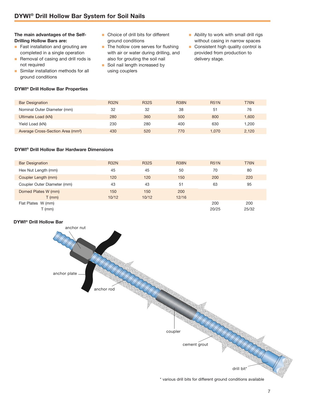## **The main advantages of the Self-Drilling Hollow Bars are:**

- **n** Fast installation and grouting are completed in a single operation
- **n** Removal of casing and drill rods is not required
- **n** Similar installation methods for all ground conditions

## **DYWI® Drill Hollow Bar Properties**

- $\blacksquare$  Choice of drill bits for different ground conditions
- **n** The hollow core serves for flushing with air or water during drilling, and also for grouting the soil nail
- soil nail length increased by using couplers
- $\blacksquare$  Ability to work with small drill rigs without casing in narrow spaces
- **n** Consistent high quality control is provided from production to delivery stage.

| <b>Bar Designation</b>                        | <b>R32N</b> | <b>R32S</b> | <b>R38N</b> | <b>R51N</b> | <b>T76N</b> |
|-----------------------------------------------|-------------|-------------|-------------|-------------|-------------|
| Nominal Outer Diameter (mm)                   | 32          | 32          | 38          | 51          | 76          |
| Ultimate Load (kN)                            | 280         | 360         | 500         | 800         | 1,600       |
| Yield Load (kN)                               | 230         | 280         | 400         | 630         | 1.200       |
| Average Cross-Section Area (mm <sup>2</sup> ) | 430         | 520         | 770         | 1.070       | 2,120       |

## **DYWI® Drill Hollow Bar Hardware Dimensions**

| <b>Bar Designation</b>      | <b>R32N</b> | <b>R32S</b> | <b>R38N</b> | <b>R51N</b> | <b>T76N</b> |
|-----------------------------|-------------|-------------|-------------|-------------|-------------|
| Hex Nut Length (mm)         | 45          | 45          | 50          | 70          | 80          |
| Coupler Length (mm)         | 120         | 120         | 150         | 200         | 220         |
| Coupler Outer Diameter (mm) | 43          | 43          | 51          | 63          | 95          |
| Domed Plates W (mm)         | 150         | 150         | 200         |             |             |
| $T$ (mm)                    | 10/12       | 10/12       | 12/16       |             |             |
| Flat Plates W (mm)          |             |             |             | 200         | 200         |
| $T$ (mm)                    |             |             |             | 20/25       | 25/32       |

## **DYWI® Drill Hollow Bar**



\* various drill bits for different ground conditions available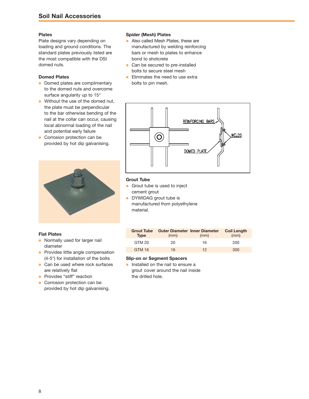## **Plates**

Plate designs vary depending on loading and ground conditions. The standard plates previously listed are the most compatible with the DSI domed nuts.

## **Domed Plates**

- Domed plates are complimentary to the domed nuts and overcome surface angularity up to 15°
- $\blacksquare$  Without the use of the domed nut, the plate must be perpendicular to the bar otherwise bending of the nail at the collar can occur, causing local abnormal loading of the nail and potential early failure
- **n** Corrosion protection can be provided by hot dip galvanising.



#### **Flat Plates**

- **n** Normally used for larger nail diameter
- **n** Provides little angle compensation (4-5°) for installation of the bolts
- Can be used where rock surfaces are relatively flat
- **n** Provides "stiff" reaction
- **n** Corrosion protection can be provided by hot dip galvanising.

## **Spider (Mesh) Plates**

- **n** Also called Mesh Plates, these are manufactured by welding reinforcing bars or mesh to plates to enhance bond to shotcrete
- Can be secured to pre-installed bolts to secure steel mesh
- $\blacksquare$  Eliminates the need to use extra bolts to pin mesh.



## **Grout Tube**

- **n** Grout tube is used to inject cement grout
- DYWIDAG grout tube is manufactured from polyethylene material.

| <b>Grout Tube</b><br><b>Type</b> | <b>Outer Diameter Inner Diameter</b><br>(mm) | (mm) | <b>Coil Length</b><br>(mm) |
|----------------------------------|----------------------------------------------|------|----------------------------|
| GTM 20                           | 20                                           | 16   | 200                        |
| <b>GTM 16</b>                    | 16                                           | 12.  | 300                        |

## **Slip-on or Segment Spacers**

**n** Installed on the nail to ensure a grout cover around the nail inside the drilled hole.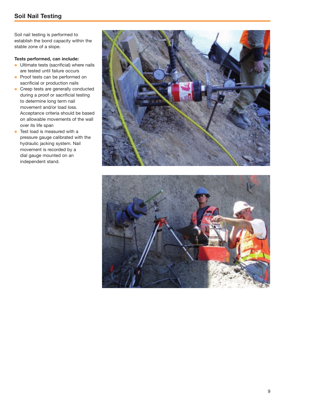Soil nail testing is performed to establish the bond capacity within the stable zone of a slope.

## **Tests performed, can include:**

- **n** Ultimate tests (sacrificial) where nails are tested until failure occurs
- **n** Proof tests can be performed on sacrificial or production nails
- **n** Creep tests are generally conducted during a proof or sacrificial testing to determine long term nail movement and/or load loss. Acceptance criteria should be based on allowable movements of the wall over its life span
- $\blacksquare$  Test load is measured with a pressure gauge calibrated with the hydraulic jacking system. Nail movement is recorded by a dial gauge mounted on an independent stand.